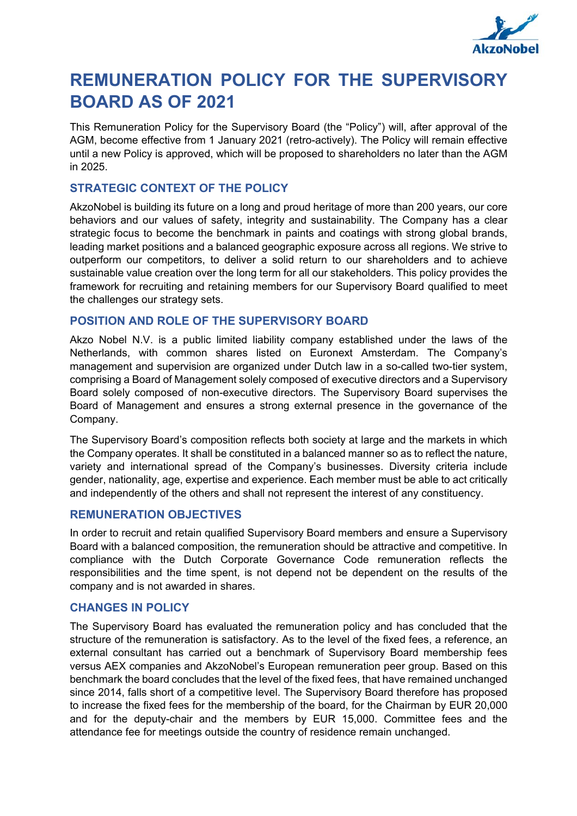

# **REMUNERATION POLICY FOR THE SUPERVISORY BOARD AS OF 2021**

This Remuneration Policy for the Supervisory Board (the "Policy") will, after approval of the AGM, become effective from 1 January 2021 (retro-actively). The Policy will remain effective until a new Policy is approved, which will be proposed to shareholders no later than the AGM in 2025.

# **STRATEGIC CONTEXT OF THE POLICY**

AkzoNobel is building its future on a long and proud heritage of more than 200 years, our core behaviors and our values of safety, integrity and sustainability. The Company has a clear strategic focus to become the benchmark in paints and coatings with strong global brands, leading market positions and a balanced geographic exposure across all regions. We strive to outperform our competitors, to deliver a solid return to our shareholders and to achieve sustainable value creation over the long term for all our stakeholders. This policy provides the framework for recruiting and retaining members for our Supervisory Board qualified to meet the challenges our strategy sets.

## **POSITION AND ROLE OF THE SUPERVISORY BOARD**

Akzo Nobel N.V. is a public limited liability company established under the laws of the Netherlands, with common shares listed on Euronext Amsterdam. The Company's management and supervision are organized under Dutch law in a so-called two-tier system, comprising a Board of Management solely composed of executive directors and a Supervisory Board solely composed of non-executive directors. The Supervisory Board supervises the Board of Management and ensures a strong external presence in the governance of the Company.

The Supervisory Board's composition reflects both society at large and the markets in which the Company operates. It shall be constituted in a balanced manner so as to reflect the nature, variety and international spread of the Company's businesses. Diversity criteria include gender, nationality, age, expertise and experience. Each member must be able to act critically and independently of the others and shall not represent the interest of any constituency.

## **REMUNERATION OBJECTIVES**

In order to recruit and retain qualified Supervisory Board members and ensure a Supervisory Board with a balanced composition, the remuneration should be attractive and competitive. In compliance with the Dutch Corporate Governance Code remuneration reflects the responsibilities and the time spent, is not depend not be dependent on the results of the company and is not awarded in shares.

## **CHANGES IN POLICY**

The Supervisory Board has evaluated the remuneration policy and has concluded that the structure of the remuneration is satisfactory. As to the level of the fixed fees, a reference, an external consultant has carried out a benchmark of Supervisory Board membership fees versus AEX companies and AkzoNobel's European remuneration peer group. Based on this benchmark the board concludes that the level of the fixed fees, that have remained unchanged since 2014, falls short of a competitive level. The Supervisory Board therefore has proposed to increase the fixed fees for the membership of the board, for the Chairman by EUR 20,000 and for the deputy-chair and the members by EUR 15,000. Committee fees and the attendance fee for meetings outside the country of residence remain unchanged.